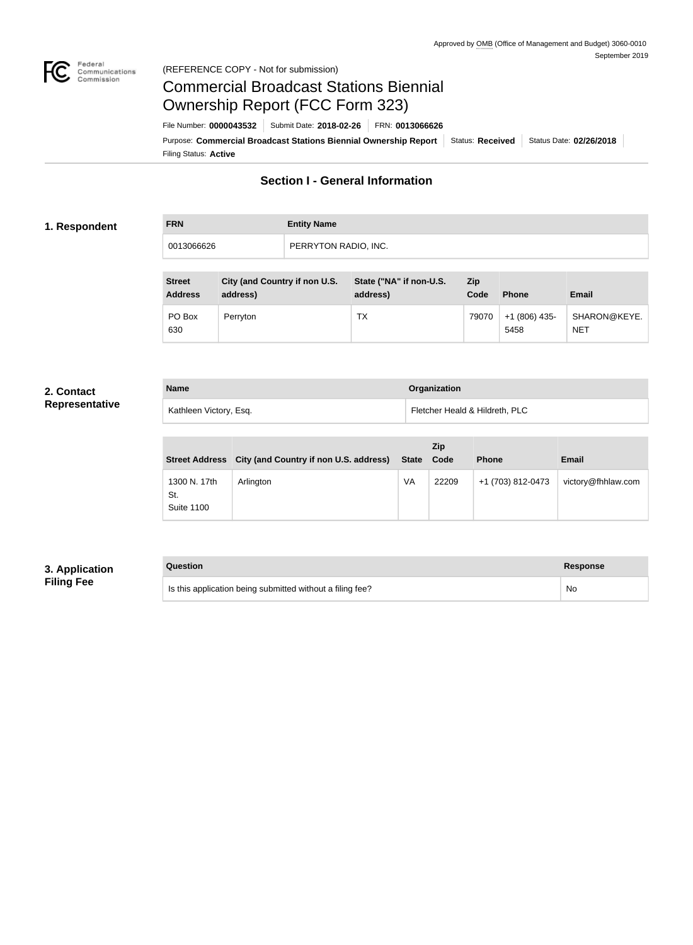

#### Federal<br>Communications<br>Commission (REFERENCE COPY - Not for submission)

# Commercial Broadcast Stations Biennial Ownership Report (FCC Form 323)

Filing Status: **Active** Purpose: Commercial Broadcast Stations Biennial Ownership Report Status: Received Status Date: 02/26/2018 File Number: **0000043532** Submit Date: **2018-02-26** FRN: **0013066626**

## **Section I - General Information**

#### **1. Respondent**

| <b>FRN</b> | <b>Entity Name</b>   |
|------------|----------------------|
| 0013066626 | PERRYTON RADIO, INC. |

| <b>Street</b><br><b>Address</b> | City (and Country if non U.S.<br>address) | State ("NA" if non-U.S.<br>address) | Zip<br>Code | <b>Phone</b>           | <b>Email</b>               |
|---------------------------------|-------------------------------------------|-------------------------------------|-------------|------------------------|----------------------------|
| PO Box<br>630                   | Perryton                                  | TX                                  | 79070       | $+1(806)$ 435-<br>5458 | SHARON@KEYE.<br><b>NET</b> |

#### **2. Contact Representative**

| <b>Name</b>            | Organization                   |
|------------------------|--------------------------------|
| Kathleen Victory, Esq. | Fletcher Heald & Hildreth, PLC |

|                                          | Street Address City (and Country if non U.S. address) | State Code | <b>Zip</b> | <b>Phone</b>      | <b>Email</b>       |
|------------------------------------------|-------------------------------------------------------|------------|------------|-------------------|--------------------|
| 1300 N. 17th<br>St.<br><b>Suite 1100</b> | Arlington                                             | VA         | 22209      | +1 (703) 812-0473 | victory@fhhlaw.com |

### **3. Application Filing Fee**

| Question                                                  | Response |
|-----------------------------------------------------------|----------|
| Is this application being submitted without a filing fee? | No       |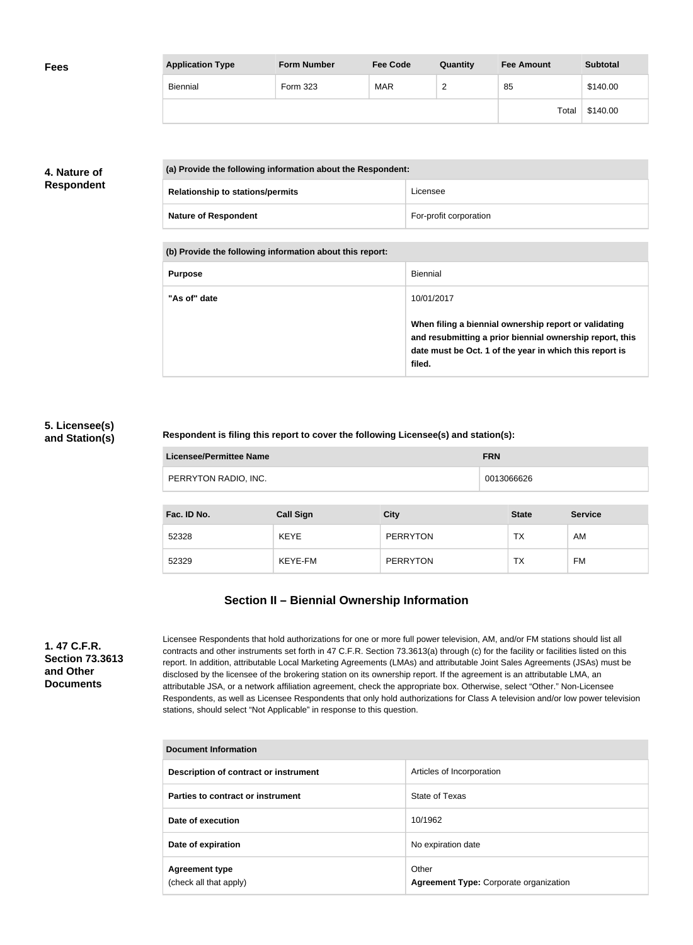| <b>Fees</b> | <b>Application Type</b> | <b>Form Number</b> | <b>Fee Code</b> | Quantity        | <b>Fee Amount</b> | <b>Subtotal</b> |
|-------------|-------------------------|--------------------|-----------------|-----------------|-------------------|-----------------|
|             | Biennial                | Form 323           | <b>MAR</b>      | $\sqrt{2}$<br>∼ | 85                | \$140.00        |
|             |                         |                    |                 |                 | Total             | \$140.00        |

### **4. Nature of Respondent**

| (a) Provide the following information about the Respondent: |                        |
|-------------------------------------------------------------|------------------------|
| <b>Relationship to stations/permits</b>                     | Licensee               |
| <b>Nature of Respondent</b>                                 | For-profit corporation |

**(b) Provide the following information about this report:**

| <b>Purpose</b> | Biennial                                                                                                                                                                               |
|----------------|----------------------------------------------------------------------------------------------------------------------------------------------------------------------------------------|
| "As of" date   | 10/01/2017                                                                                                                                                                             |
|                | When filing a biennial ownership report or validating<br>and resubmitting a prior biennial ownership report, this<br>date must be Oct. 1 of the year in which this report is<br>filed. |

#### **5. Licensee(s) and Station(s)**

#### **Respondent is filing this report to cover the following Licensee(s) and station(s):**

| <b>Licensee/Permittee Name</b> | <b>FRN</b> |
|--------------------------------|------------|
| PERRYTON RADIO, INC.           | 0013066626 |

| Fac. ID No. | <b>Call Sign</b> | City            | <b>State</b> | <b>Service</b> |
|-------------|------------------|-----------------|--------------|----------------|
| 52328       | <b>KEYE</b>      | <b>PERRYTON</b> | <b>TX</b>    | AM             |
| 52329       | KEYE-FM          | <b>PERRYTON</b> | ТX           | FM             |

## **Section II – Biennial Ownership Information**

**1. 47 C.F.R. Section 73.3613 and Other Documents**

Licensee Respondents that hold authorizations for one or more full power television, AM, and/or FM stations should list all contracts and other instruments set forth in 47 C.F.R. Section 73.3613(a) through (c) for the facility or facilities listed on this report. In addition, attributable Local Marketing Agreements (LMAs) and attributable Joint Sales Agreements (JSAs) must be disclosed by the licensee of the brokering station on its ownership report. If the agreement is an attributable LMA, an attributable JSA, or a network affiliation agreement, check the appropriate box. Otherwise, select "Other." Non-Licensee Respondents, as well as Licensee Respondents that only hold authorizations for Class A television and/or low power television stations, should select "Not Applicable" in response to this question.

| Document Information                            |                                                 |  |
|-------------------------------------------------|-------------------------------------------------|--|
| Description of contract or instrument           | Articles of Incorporation                       |  |
| Parties to contract or instrument               | State of Texas                                  |  |
| Date of execution                               | 10/1962                                         |  |
| Date of expiration                              | No expiration date                              |  |
| <b>Agreement type</b><br>(check all that apply) | Other<br>Agreement Type: Corporate organization |  |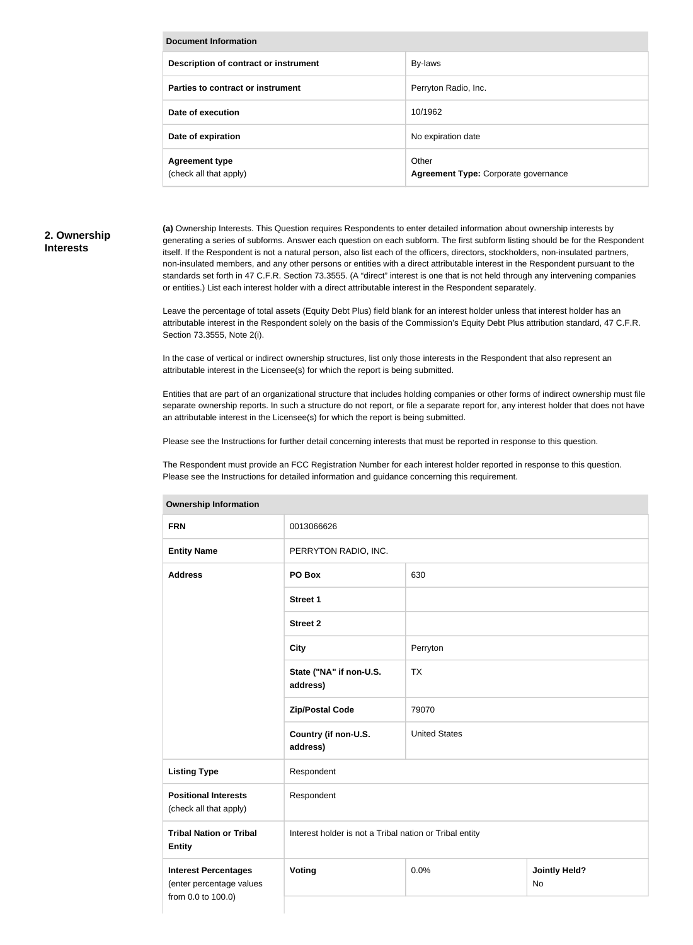| <b>Document Information</b>                     |                                               |
|-------------------------------------------------|-----------------------------------------------|
| Description of contract or instrument           | By-laws                                       |
| Parties to contract or instrument               | Perryton Radio, Inc.                          |
| Date of execution                               | 10/1962                                       |
| Date of expiration                              | No expiration date                            |
| <b>Agreement type</b><br>(check all that apply) | Other<br>Agreement Type: Corporate governance |

#### **2. Ownership Interests**

**(a)** Ownership Interests. This Question requires Respondents to enter detailed information about ownership interests by generating a series of subforms. Answer each question on each subform. The first subform listing should be for the Respondent itself. If the Respondent is not a natural person, also list each of the officers, directors, stockholders, non-insulated partners, non-insulated members, and any other persons or entities with a direct attributable interest in the Respondent pursuant to the standards set forth in 47 C.F.R. Section 73.3555. (A "direct" interest is one that is not held through any intervening companies or entities.) List each interest holder with a direct attributable interest in the Respondent separately.

Leave the percentage of total assets (Equity Debt Plus) field blank for an interest holder unless that interest holder has an attributable interest in the Respondent solely on the basis of the Commission's Equity Debt Plus attribution standard, 47 C.F.R. Section 73.3555, Note 2(i).

In the case of vertical or indirect ownership structures, list only those interests in the Respondent that also represent an attributable interest in the Licensee(s) for which the report is being submitted.

Entities that are part of an organizational structure that includes holding companies or other forms of indirect ownership must file separate ownership reports. In such a structure do not report, or file a separate report for, any interest holder that does not have an attributable interest in the Licensee(s) for which the report is being submitted.

Please see the Instructions for further detail concerning interests that must be reported in response to this question.

The Respondent must provide an FCC Registration Number for each interest holder reported in response to this question. Please see the Instructions for detailed information and guidance concerning this requirement.

| <b>FRN</b>                                                                    | 0013066626                                              |                      |                            |
|-------------------------------------------------------------------------------|---------------------------------------------------------|----------------------|----------------------------|
| <b>Entity Name</b>                                                            | PERRYTON RADIO, INC.                                    |                      |                            |
| <b>Address</b>                                                                | PO Box                                                  | 630                  |                            |
|                                                                               | <b>Street 1</b>                                         |                      |                            |
|                                                                               | <b>Street 2</b>                                         |                      |                            |
|                                                                               | <b>City</b>                                             | Perryton             |                            |
|                                                                               | State ("NA" if non-U.S.<br>address)                     | <b>TX</b>            |                            |
|                                                                               | <b>Zip/Postal Code</b>                                  | 79070                |                            |
|                                                                               | Country (if non-U.S.<br>address)                        | <b>United States</b> |                            |
| <b>Listing Type</b>                                                           | Respondent                                              |                      |                            |
| <b>Positional Interests</b><br>(check all that apply)                         | Respondent                                              |                      |                            |
| <b>Tribal Nation or Tribal</b><br><b>Entity</b>                               | Interest holder is not a Tribal nation or Tribal entity |                      |                            |
| <b>Interest Percentages</b><br>(enter percentage values<br>from 0.0 to 100.0) | Voting                                                  | 0.0%                 | <b>Jointly Held?</b><br>No |
|                                                                               |                                                         |                      |                            |

#### **Ownership Information**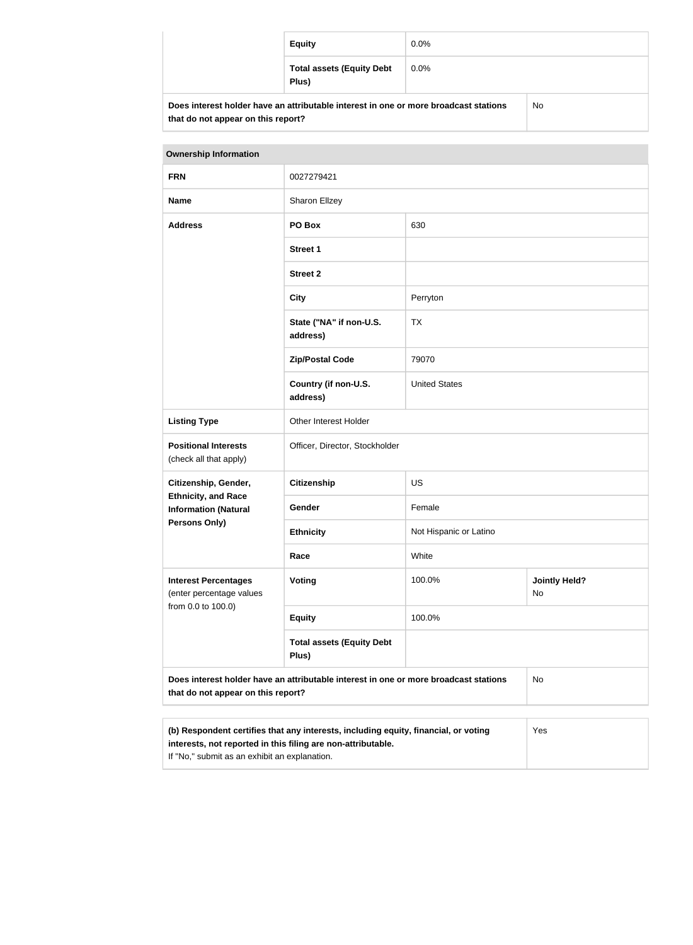|                                                                                      | <b>Equity</b>                             | $0.0\%$ |  |
|--------------------------------------------------------------------------------------|-------------------------------------------|---------|--|
|                                                                                      | <b>Total assets (Equity Debt</b><br>Plus) | $0.0\%$ |  |
| Does interest holder have an attributable interest in one or more broadcast stations |                                           | No      |  |

| <b>Ownership Information</b>                                                                                                                        |                                           |                        |                            |
|-----------------------------------------------------------------------------------------------------------------------------------------------------|-------------------------------------------|------------------------|----------------------------|
| <b>FRN</b>                                                                                                                                          | 0027279421                                |                        |                            |
| <b>Name</b>                                                                                                                                         | Sharon Ellzey                             |                        |                            |
| <b>Address</b>                                                                                                                                      | PO Box                                    | 630                    |                            |
|                                                                                                                                                     | <b>Street 1</b>                           |                        |                            |
|                                                                                                                                                     | <b>Street 2</b>                           |                        |                            |
|                                                                                                                                                     | <b>City</b>                               | Perryton               |                            |
|                                                                                                                                                     | State ("NA" if non-U.S.<br>address)       | <b>TX</b>              |                            |
|                                                                                                                                                     | <b>Zip/Postal Code</b>                    | 79070                  |                            |
|                                                                                                                                                     | Country (if non-U.S.<br>address)          | <b>United States</b>   |                            |
| <b>Listing Type</b>                                                                                                                                 | Other Interest Holder                     |                        |                            |
| <b>Positional Interests</b><br>(check all that apply)                                                                                               | Officer, Director, Stockholder            |                        |                            |
| Citizenship, Gender,                                                                                                                                | Citizenship                               | <b>US</b>              |                            |
| <b>Ethnicity, and Race</b><br><b>Information (Natural</b>                                                                                           | Gender                                    | Female                 |                            |
| <b>Persons Only)</b>                                                                                                                                | <b>Ethnicity</b>                          | Not Hispanic or Latino |                            |
|                                                                                                                                                     | Race                                      | White                  |                            |
| <b>Interest Percentages</b><br>(enter percentage values<br>from 0.0 to 100.0)                                                                       | Voting                                    | 100.0%                 | <b>Jointly Held?</b><br>No |
|                                                                                                                                                     | <b>Equity</b>                             | 100.0%                 |                            |
|                                                                                                                                                     | <b>Total assets (Equity Debt</b><br>Plus) |                        |                            |
| Does interest holder have an attributable interest in one or more broadcast stations<br>that do not appear on this report?                          |                                           | No                     |                            |
|                                                                                                                                                     |                                           |                        |                            |
| (b) Respondent certifies that any interests, including equity, financial, or voting<br>interests, not reported in this filing are non-attributable. |                                           |                        | Yes                        |

If "No," submit as an exhibit an explanation.

**that do not appear on this report?**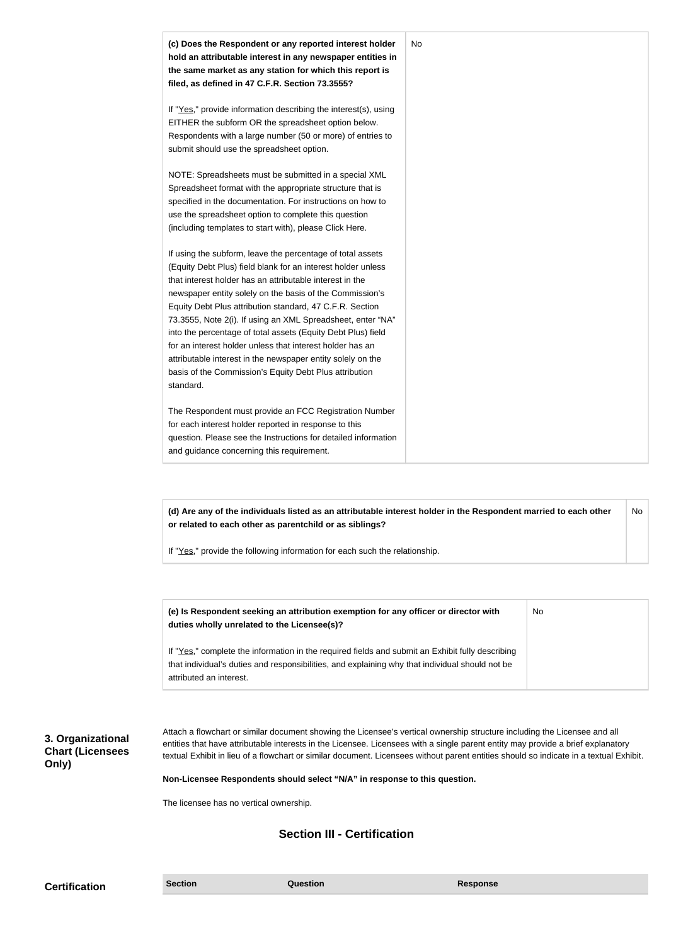| (c) Does the Respondent or any reported interest holder<br>hold an attributable interest in any newspaper entities in<br>the same market as any station for which this report is<br>filed, as defined in 47 C.F.R. Section 73.3555?                                                                                                                                                                                                                                                                                                                                                                                                              | No |
|--------------------------------------------------------------------------------------------------------------------------------------------------------------------------------------------------------------------------------------------------------------------------------------------------------------------------------------------------------------------------------------------------------------------------------------------------------------------------------------------------------------------------------------------------------------------------------------------------------------------------------------------------|----|
| If "Yes," provide information describing the interest(s), using<br>EITHER the subform OR the spreadsheet option below.<br>Respondents with a large number (50 or more) of entries to<br>submit should use the spreadsheet option.                                                                                                                                                                                                                                                                                                                                                                                                                |    |
| NOTE: Spreadsheets must be submitted in a special XML<br>Spreadsheet format with the appropriate structure that is<br>specified in the documentation. For instructions on how to<br>use the spreadsheet option to complete this question<br>(including templates to start with), please Click Here.                                                                                                                                                                                                                                                                                                                                              |    |
| If using the subform, leave the percentage of total assets<br>(Equity Debt Plus) field blank for an interest holder unless<br>that interest holder has an attributable interest in the<br>newspaper entity solely on the basis of the Commission's<br>Equity Debt Plus attribution standard, 47 C.F.R. Section<br>73.3555, Note 2(i). If using an XML Spreadsheet, enter "NA"<br>into the percentage of total assets (Equity Debt Plus) field<br>for an interest holder unless that interest holder has an<br>attributable interest in the newspaper entity solely on the<br>basis of the Commission's Equity Debt Plus attribution<br>standard. |    |
| The Respondent must provide an FCC Registration Number<br>for each interest holder reported in response to this<br>question. Please see the Instructions for detailed information<br>and guidance concerning this requirement.                                                                                                                                                                                                                                                                                                                                                                                                                   |    |

**(d) Are any of the individuals listed as an attributable interest holder in the Respondent married to each other or related to each other as parentchild or as siblings?** No

If "Yes," provide the following information for each such the relationship.

| (e) Is Respondent seeking an attribution exemption for any officer or director with<br>duties wholly unrelated to the Licensee(s)? | No |
|------------------------------------------------------------------------------------------------------------------------------------|----|
| If "Yes," complete the information in the required fields and submit an Exhibit fully describing                                   |    |
| that individual's duties and responsibilities, and explaining why that individual should not be<br>attributed an interest.         |    |

**3. Organizational Chart (Licensees Only)**

Attach a flowchart or similar document showing the Licensee's vertical ownership structure including the Licensee and all entities that have attributable interests in the Licensee. Licensees with a single parent entity may provide a brief explanatory textual Exhibit in lieu of a flowchart or similar document. Licensees without parent entities should so indicate in a textual Exhibit.

**Non-Licensee Respondents should select "N/A" in response to this question.**

The licensee has no vertical ownership.

## **Section III - Certification**